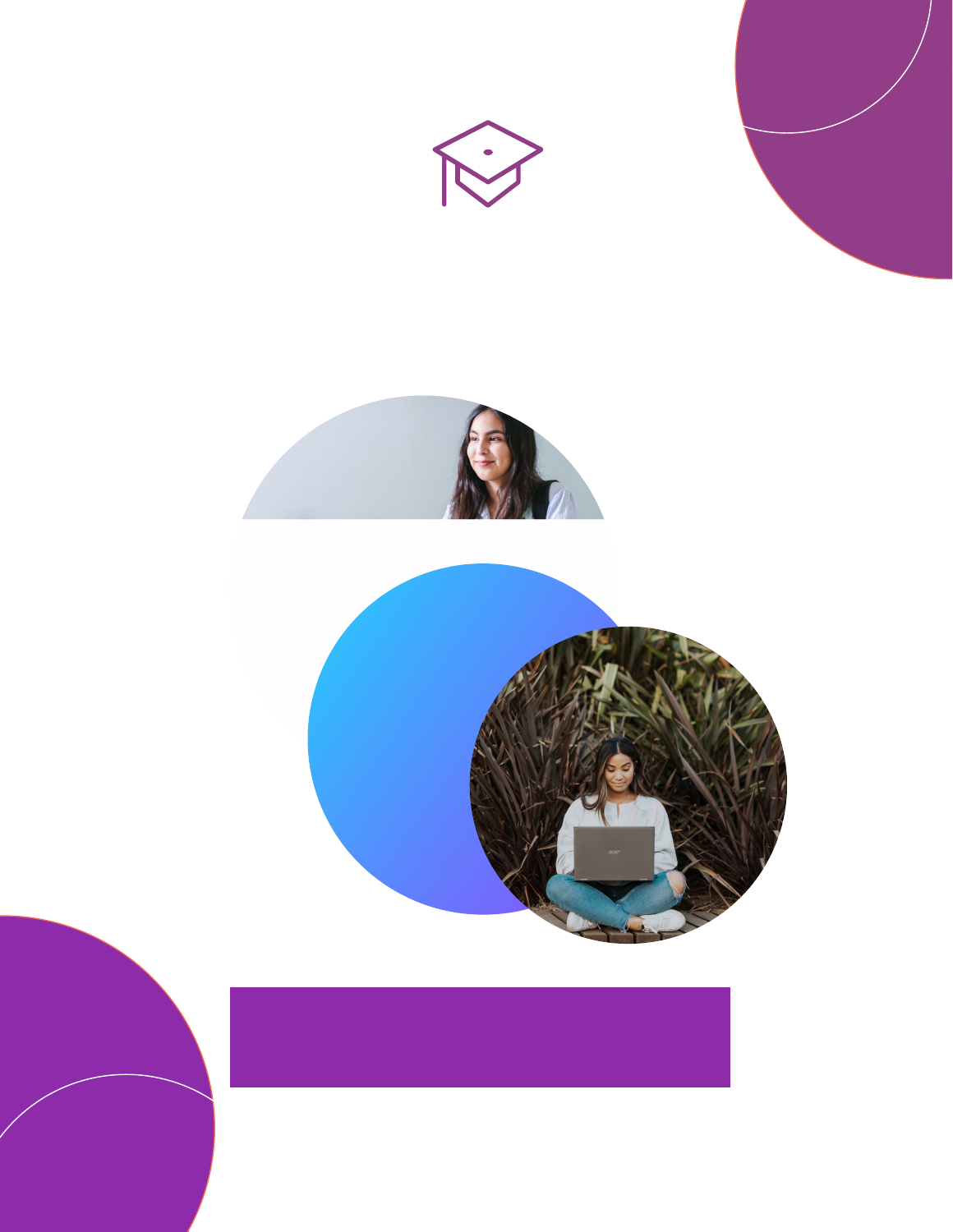

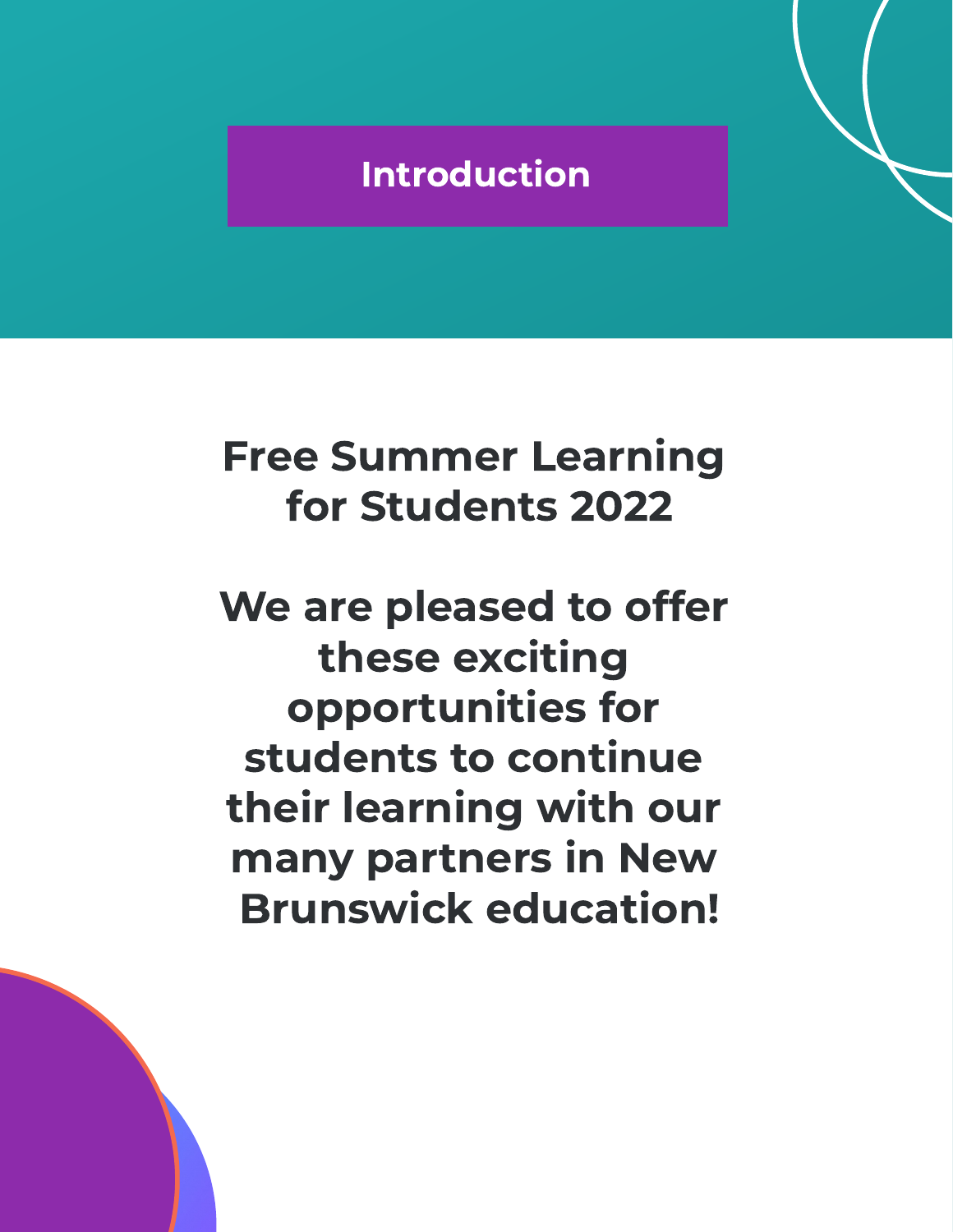

## Free Summer Learning for Students 2022

We are pleased to offer these exciting opportunities for students to continue their learning with our many partners in New Brunswick education!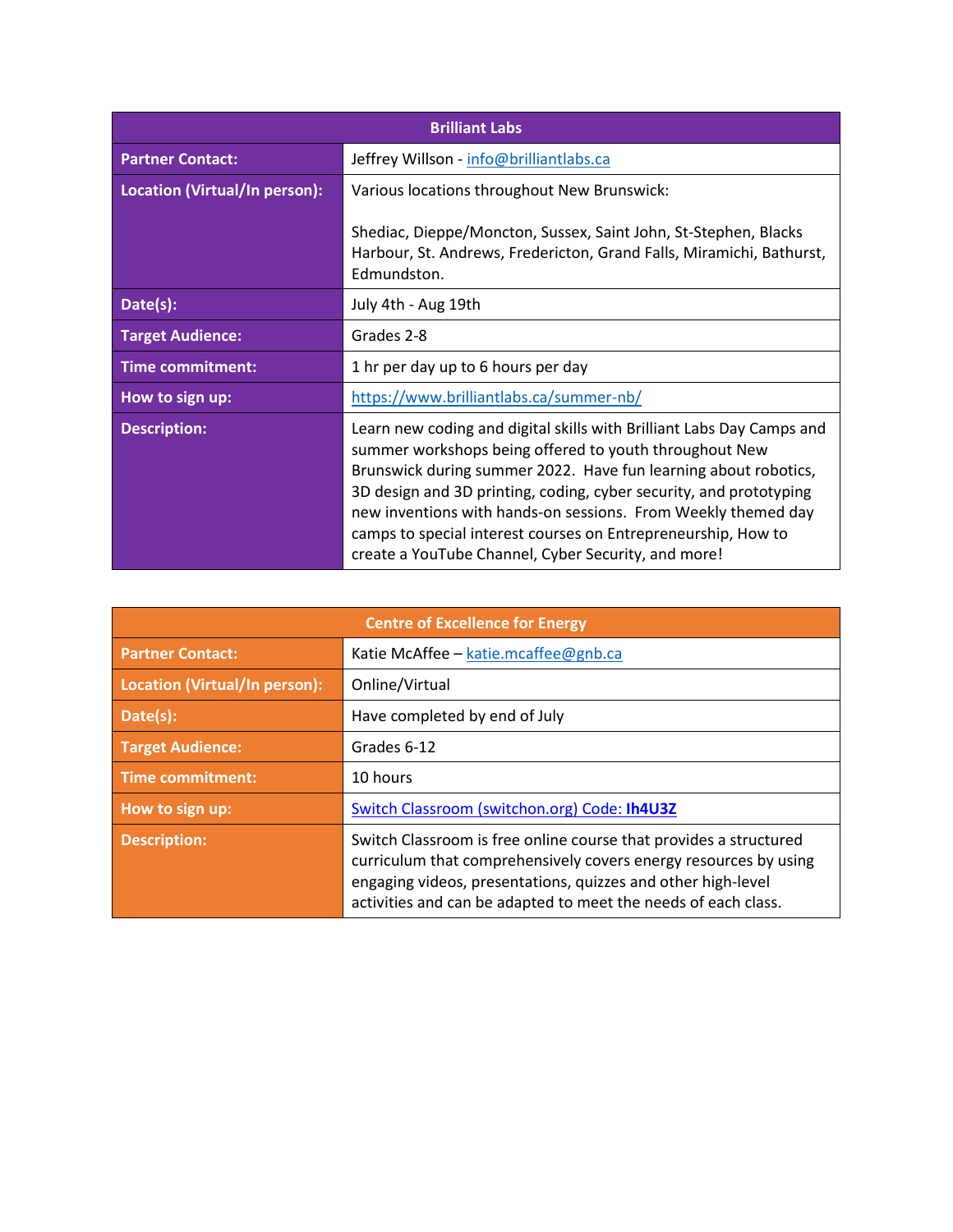| <b>Brilliant Labs</b>         |                                                                                                                                                                                                                                                                                                                                                                                                                                                                   |
|-------------------------------|-------------------------------------------------------------------------------------------------------------------------------------------------------------------------------------------------------------------------------------------------------------------------------------------------------------------------------------------------------------------------------------------------------------------------------------------------------------------|
| <b>Partner Contact:</b>       | Jeffrey Willson - info@brilliantlabs.ca                                                                                                                                                                                                                                                                                                                                                                                                                           |
| Location (Virtual/In person): | Various locations throughout New Brunswick:                                                                                                                                                                                                                                                                                                                                                                                                                       |
|                               | Shediac, Dieppe/Moncton, Sussex, Saint John, St-Stephen, Blacks<br>Harbour, St. Andrews, Fredericton, Grand Falls, Miramichi, Bathurst,<br>Edmundston.                                                                                                                                                                                                                                                                                                            |
| Date(s):                      | July 4th - Aug 19th                                                                                                                                                                                                                                                                                                                                                                                                                                               |
| <b>Target Audience:</b>       | Grades 2-8                                                                                                                                                                                                                                                                                                                                                                                                                                                        |
| <b>Time commitment:</b>       | 1 hr per day up to 6 hours per day                                                                                                                                                                                                                                                                                                                                                                                                                                |
| How to sign up:               | https://www.brilliantlabs.ca/summer-nb/                                                                                                                                                                                                                                                                                                                                                                                                                           |
| <b>Description:</b>           | Learn new coding and digital skills with Brilliant Labs Day Camps and<br>summer workshops being offered to youth throughout New<br>Brunswick during summer 2022. Have fun learning about robotics,<br>3D design and 3D printing, coding, cyber security, and prototyping<br>new inventions with hands-on sessions. From Weekly themed day<br>camps to special interest courses on Entrepreneurship, How to<br>create a YouTube Channel, Cyber Security, and more! |

| <b>Centre of Excellence for Energy</b> |                                                                                                                                                                                                                                                                         |
|----------------------------------------|-------------------------------------------------------------------------------------------------------------------------------------------------------------------------------------------------------------------------------------------------------------------------|
| <b>Partner Contact:</b>                | Katie McAffee - katie.mcaffee@gnb.ca                                                                                                                                                                                                                                    |
| Location (Virtual/In person):          | Online/Virtual                                                                                                                                                                                                                                                          |
| Date(s):                               | Have completed by end of July                                                                                                                                                                                                                                           |
| <b>Target Audience:</b>                | Grades 6-12                                                                                                                                                                                                                                                             |
| Time commitment:                       | 10 hours                                                                                                                                                                                                                                                                |
| How to sign up:                        | Switch Classroom (switchon.org) Code: Ih4U3Z                                                                                                                                                                                                                            |
| <b>Description:</b>                    | Switch Classroom is free online course that provides a structured<br>curriculum that comprehensively covers energy resources by using<br>engaging videos, presentations, quizzes and other high-level<br>activities and can be adapted to meet the needs of each class. |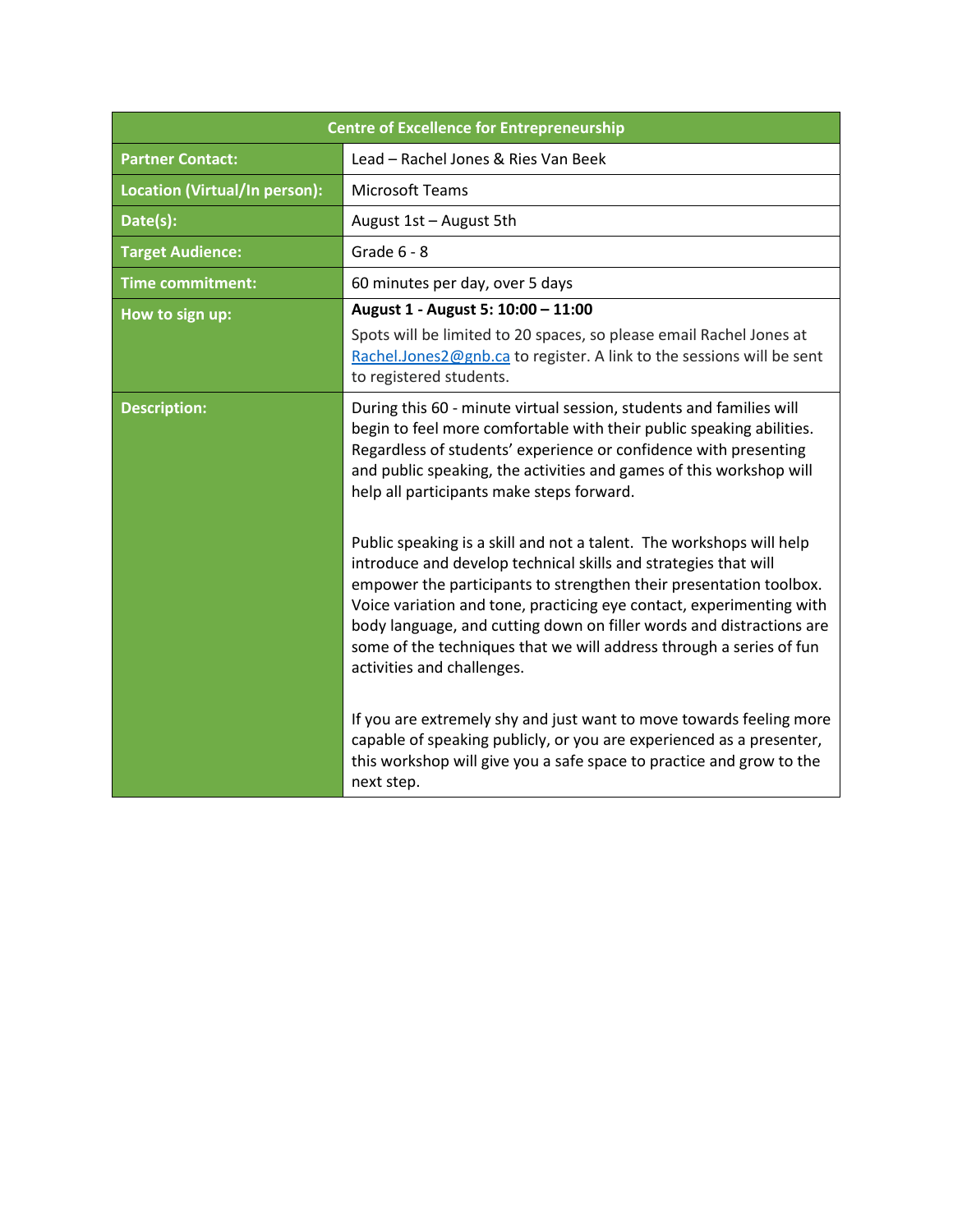| <b>Centre of Excellence for Entrepreneurship</b> |                                                                                                                                                                                                                                                                                                                                                                                                                                                                                                                                                                                                                                                                                                                                                                                                                                                                                                                                                                                                                                                |
|--------------------------------------------------|------------------------------------------------------------------------------------------------------------------------------------------------------------------------------------------------------------------------------------------------------------------------------------------------------------------------------------------------------------------------------------------------------------------------------------------------------------------------------------------------------------------------------------------------------------------------------------------------------------------------------------------------------------------------------------------------------------------------------------------------------------------------------------------------------------------------------------------------------------------------------------------------------------------------------------------------------------------------------------------------------------------------------------------------|
| <b>Partner Contact:</b>                          | Lead - Rachel Jones & Ries Van Beek                                                                                                                                                                                                                                                                                                                                                                                                                                                                                                                                                                                                                                                                                                                                                                                                                                                                                                                                                                                                            |
| Location (Virtual/In person):                    | <b>Microsoft Teams</b>                                                                                                                                                                                                                                                                                                                                                                                                                                                                                                                                                                                                                                                                                                                                                                                                                                                                                                                                                                                                                         |
| Date(s):                                         | August 1st - August 5th                                                                                                                                                                                                                                                                                                                                                                                                                                                                                                                                                                                                                                                                                                                                                                                                                                                                                                                                                                                                                        |
| <b>Target Audience:</b>                          | Grade $6 - 8$                                                                                                                                                                                                                                                                                                                                                                                                                                                                                                                                                                                                                                                                                                                                                                                                                                                                                                                                                                                                                                  |
| <b>Time commitment:</b>                          | 60 minutes per day, over 5 days                                                                                                                                                                                                                                                                                                                                                                                                                                                                                                                                                                                                                                                                                                                                                                                                                                                                                                                                                                                                                |
| How to sign up:                                  | August 1 - August 5: 10:00 - 11:00<br>Spots will be limited to 20 spaces, so please email Rachel Jones at<br>Rachel.Jones2@gnb.ca to register. A link to the sessions will be sent<br>to registered students.                                                                                                                                                                                                                                                                                                                                                                                                                                                                                                                                                                                                                                                                                                                                                                                                                                  |
| <b>Description:</b>                              | During this 60 - minute virtual session, students and families will<br>begin to feel more comfortable with their public speaking abilities.<br>Regardless of students' experience or confidence with presenting<br>and public speaking, the activities and games of this workshop will<br>help all participants make steps forward.<br>Public speaking is a skill and not a talent. The workshops will help<br>introduce and develop technical skills and strategies that will<br>empower the participants to strengthen their presentation toolbox.<br>Voice variation and tone, practicing eye contact, experimenting with<br>body language, and cutting down on filler words and distractions are<br>some of the techniques that we will address through a series of fun<br>activities and challenges.<br>If you are extremely shy and just want to move towards feeling more<br>capable of speaking publicly, or you are experienced as a presenter,<br>this workshop will give you a safe space to practice and grow to the<br>next step. |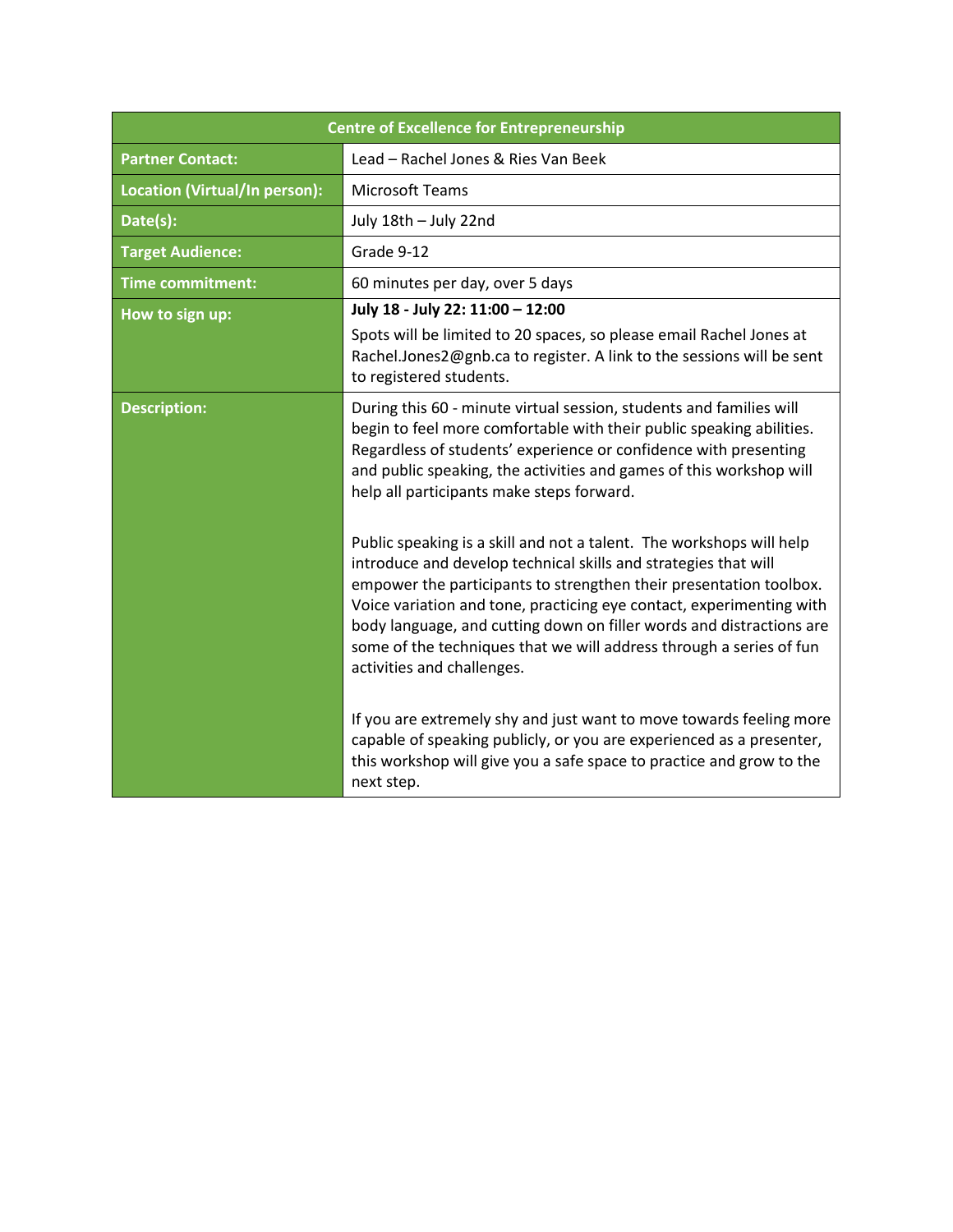| <b>Centre of Excellence for Entrepreneurship</b> |                                                                                                                                                                                                                                                                                                                                                                                                                                                                    |
|--------------------------------------------------|--------------------------------------------------------------------------------------------------------------------------------------------------------------------------------------------------------------------------------------------------------------------------------------------------------------------------------------------------------------------------------------------------------------------------------------------------------------------|
| <b>Partner Contact:</b>                          | Lead - Rachel Jones & Ries Van Beek                                                                                                                                                                                                                                                                                                                                                                                                                                |
| Location (Virtual/In person):                    | <b>Microsoft Teams</b>                                                                                                                                                                                                                                                                                                                                                                                                                                             |
| Date(s):                                         | July 18th - July 22nd                                                                                                                                                                                                                                                                                                                                                                                                                                              |
| <b>Target Audience:</b>                          | Grade 9-12                                                                                                                                                                                                                                                                                                                                                                                                                                                         |
| <b>Time commitment:</b>                          | 60 minutes per day, over 5 days                                                                                                                                                                                                                                                                                                                                                                                                                                    |
| How to sign up:                                  | July 18 - July 22: 11:00 - 12:00                                                                                                                                                                                                                                                                                                                                                                                                                                   |
|                                                  | Spots will be limited to 20 spaces, so please email Rachel Jones at<br>Rachel.Jones2@gnb.ca to register. A link to the sessions will be sent<br>to registered students.                                                                                                                                                                                                                                                                                            |
| <b>Description:</b>                              | During this 60 - minute virtual session, students and families will<br>begin to feel more comfortable with their public speaking abilities.<br>Regardless of students' experience or confidence with presenting<br>and public speaking, the activities and games of this workshop will<br>help all participants make steps forward.                                                                                                                                |
|                                                  | Public speaking is a skill and not a talent. The workshops will help<br>introduce and develop technical skills and strategies that will<br>empower the participants to strengthen their presentation toolbox.<br>Voice variation and tone, practicing eye contact, experimenting with<br>body language, and cutting down on filler words and distractions are<br>some of the techniques that we will address through a series of fun<br>activities and challenges. |
|                                                  | If you are extremely shy and just want to move towards feeling more<br>capable of speaking publicly, or you are experienced as a presenter,<br>this workshop will give you a safe space to practice and grow to the<br>next step.                                                                                                                                                                                                                                  |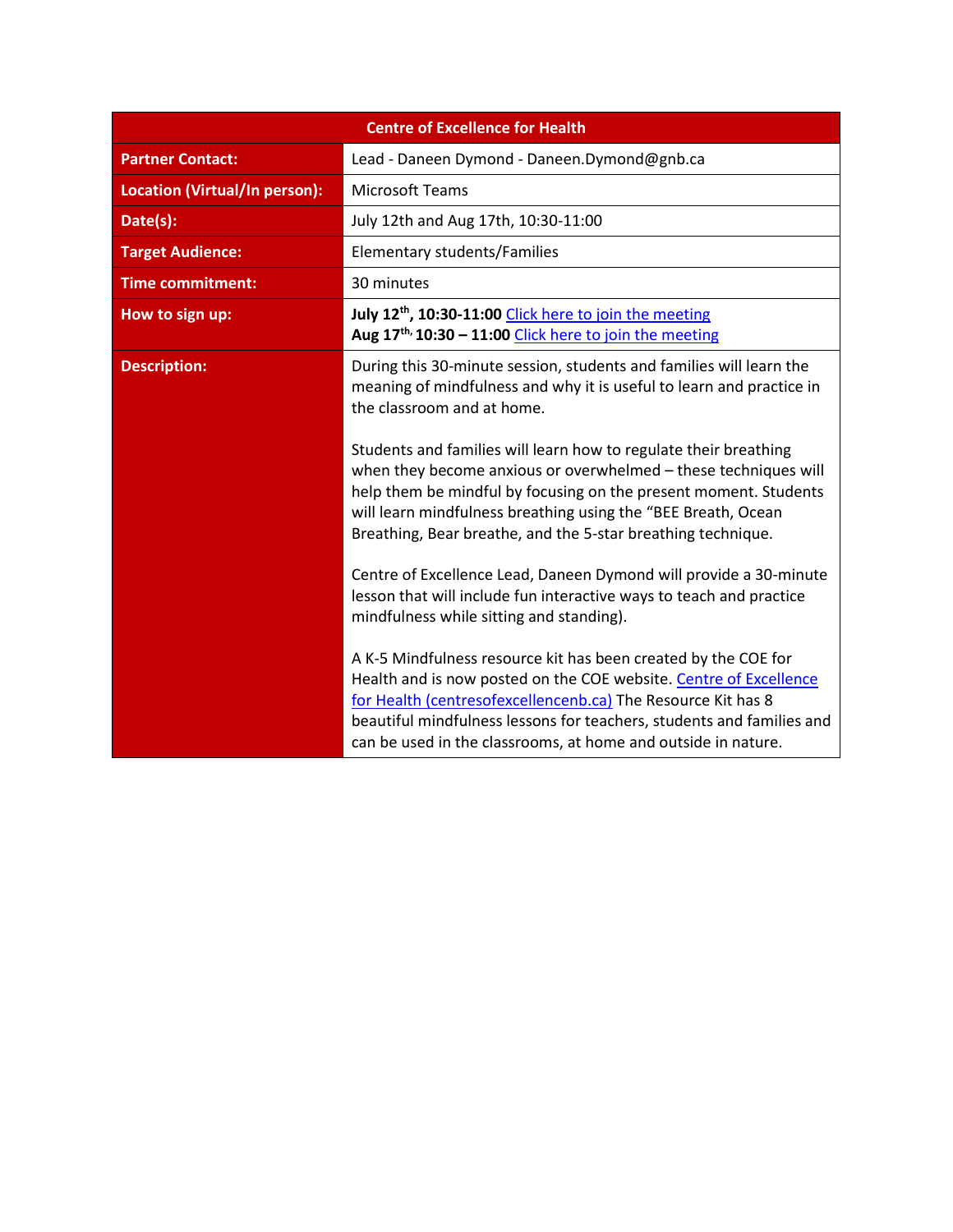| <b>Centre of Excellence for Health</b> |                                                                                                                                                                                                                                                                                                                                                                                                                                                                                                                                                                                                                                                                                                                                                                                                                                                                                                                      |
|----------------------------------------|----------------------------------------------------------------------------------------------------------------------------------------------------------------------------------------------------------------------------------------------------------------------------------------------------------------------------------------------------------------------------------------------------------------------------------------------------------------------------------------------------------------------------------------------------------------------------------------------------------------------------------------------------------------------------------------------------------------------------------------------------------------------------------------------------------------------------------------------------------------------------------------------------------------------|
| <b>Partner Contact:</b>                | Lead - Daneen Dymond - Daneen.Dymond@gnb.ca                                                                                                                                                                                                                                                                                                                                                                                                                                                                                                                                                                                                                                                                                                                                                                                                                                                                          |
| Location (Virtual/In person):          | <b>Microsoft Teams</b>                                                                                                                                                                                                                                                                                                                                                                                                                                                                                                                                                                                                                                                                                                                                                                                                                                                                                               |
| Date(s):                               | July 12th and Aug 17th, 10:30-11:00                                                                                                                                                                                                                                                                                                                                                                                                                                                                                                                                                                                                                                                                                                                                                                                                                                                                                  |
| <b>Target Audience:</b>                | Elementary students/Families                                                                                                                                                                                                                                                                                                                                                                                                                                                                                                                                                                                                                                                                                                                                                                                                                                                                                         |
| <b>Time commitment:</b>                | 30 minutes                                                                                                                                                                                                                                                                                                                                                                                                                                                                                                                                                                                                                                                                                                                                                                                                                                                                                                           |
| How to sign up:                        | July 12 <sup>th</sup> , 10:30-11:00 Click here to join the meeting<br>Aug 17th, 10:30 - 11:00 Click here to join the meeting                                                                                                                                                                                                                                                                                                                                                                                                                                                                                                                                                                                                                                                                                                                                                                                         |
| <b>Description:</b>                    | During this 30-minute session, students and families will learn the<br>meaning of mindfulness and why it is useful to learn and practice in<br>the classroom and at home.<br>Students and families will learn how to regulate their breathing<br>when they become anxious or overwhelmed - these techniques will<br>help them be mindful by focusing on the present moment. Students<br>will learn mindfulness breathing using the "BEE Breath, Ocean<br>Breathing, Bear breathe, and the 5-star breathing technique.<br>Centre of Excellence Lead, Daneen Dymond will provide a 30-minute<br>lesson that will include fun interactive ways to teach and practice<br>mindfulness while sitting and standing).<br>A K-5 Mindfulness resource kit has been created by the COE for<br>Health and is now posted on the COE website. Centre of Excellence<br>for Health (centresofexcellencenb.ca) The Resource Kit has 8 |
|                                        | beautiful mindfulness lessons for teachers, students and families and<br>can be used in the classrooms, at home and outside in nature.                                                                                                                                                                                                                                                                                                                                                                                                                                                                                                                                                                                                                                                                                                                                                                               |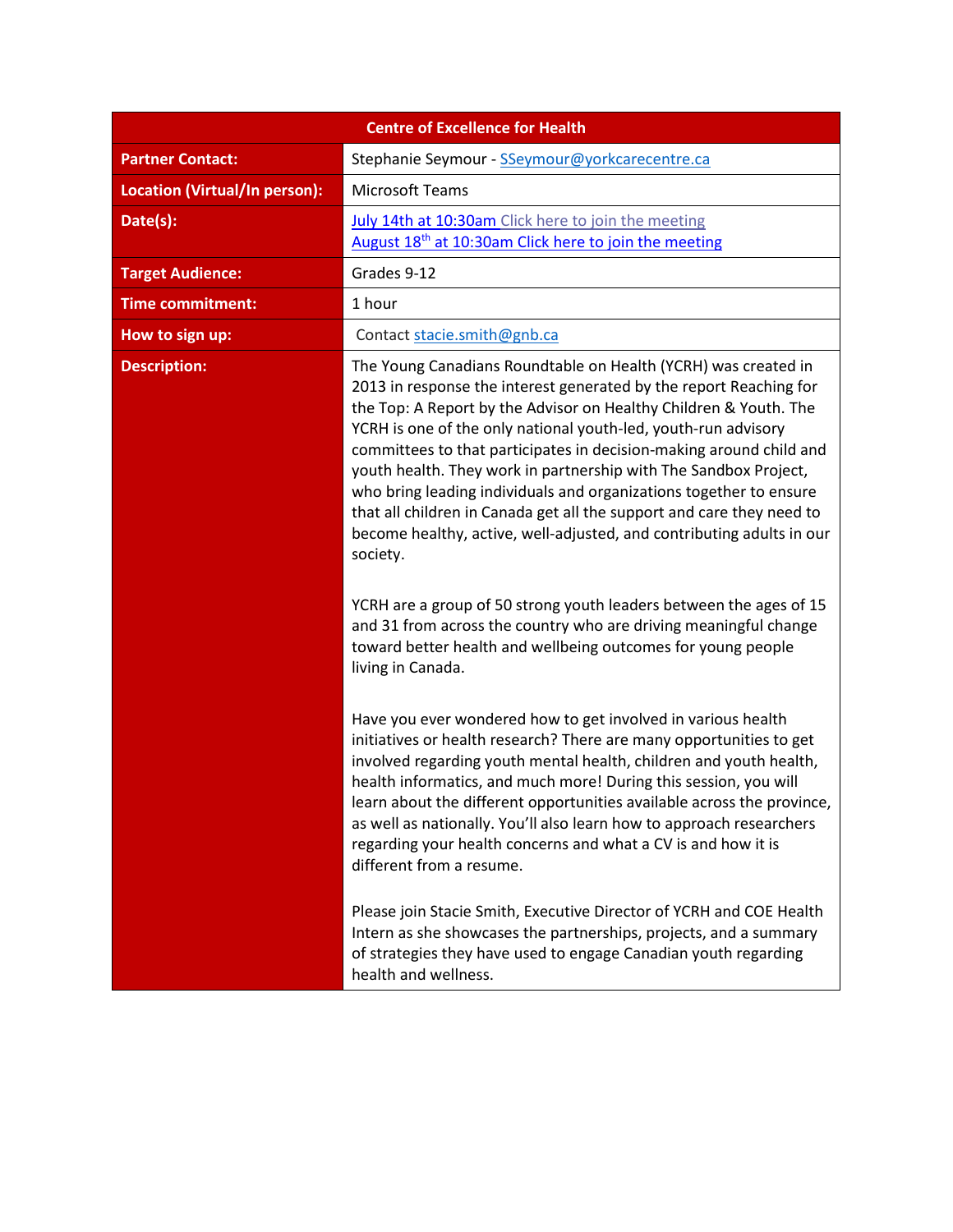| <b>Centre of Excellence for Health</b> |                                                                                                                                                                                                                                                                                                                                                                                                                                                                                                                                                                                                                                                                                                                                                                                                                                                                      |
|----------------------------------------|----------------------------------------------------------------------------------------------------------------------------------------------------------------------------------------------------------------------------------------------------------------------------------------------------------------------------------------------------------------------------------------------------------------------------------------------------------------------------------------------------------------------------------------------------------------------------------------------------------------------------------------------------------------------------------------------------------------------------------------------------------------------------------------------------------------------------------------------------------------------|
| <b>Partner Contact:</b>                | Stephanie Seymour - SSeymour@yorkcarecentre.ca                                                                                                                                                                                                                                                                                                                                                                                                                                                                                                                                                                                                                                                                                                                                                                                                                       |
| Location (Virtual/In person):          | <b>Microsoft Teams</b>                                                                                                                                                                                                                                                                                                                                                                                                                                                                                                                                                                                                                                                                                                                                                                                                                                               |
| Date(s):                               | July 14th at 10:30am Click here to join the meeting<br>August 18 <sup>th</sup> at 10:30am Click here to join the meeting                                                                                                                                                                                                                                                                                                                                                                                                                                                                                                                                                                                                                                                                                                                                             |
| <b>Target Audience:</b>                | Grades 9-12                                                                                                                                                                                                                                                                                                                                                                                                                                                                                                                                                                                                                                                                                                                                                                                                                                                          |
| <b>Time commitment:</b>                | 1 hour                                                                                                                                                                                                                                                                                                                                                                                                                                                                                                                                                                                                                                                                                                                                                                                                                                                               |
| How to sign up:                        | Contact stacie.smith@gnb.ca                                                                                                                                                                                                                                                                                                                                                                                                                                                                                                                                                                                                                                                                                                                                                                                                                                          |
| <b>Description:</b>                    | The Young Canadians Roundtable on Health (YCRH) was created in<br>2013 in response the interest generated by the report Reaching for<br>the Top: A Report by the Advisor on Healthy Children & Youth. The<br>YCRH is one of the only national youth-led, youth-run advisory<br>committees to that participates in decision-making around child and<br>youth health. They work in partnership with The Sandbox Project,<br>who bring leading individuals and organizations together to ensure<br>that all children in Canada get all the support and care they need to<br>become healthy, active, well-adjusted, and contributing adults in our<br>society.<br>YCRH are a group of 50 strong youth leaders between the ages of 15<br>and 31 from across the country who are driving meaningful change<br>toward better health and wellbeing outcomes for young people |
|                                        | living in Canada.<br>Have you ever wondered how to get involved in various health<br>initiatives or health research? There are many opportunities to get<br>involved regarding youth mental health, children and youth health,<br>health informatics, and much more! During this session, you will<br>learn about the different opportunities available across the province,<br>as well as nationally. You'll also learn how to approach researchers<br>regarding your health concerns and what a CV is and how it is<br>different from a resume.<br>Please join Stacie Smith, Executive Director of YCRH and COE Health<br>Intern as she showcases the partnerships, projects, and a summary<br>of strategies they have used to engage Canadian youth regarding<br>health and wellness.                                                                             |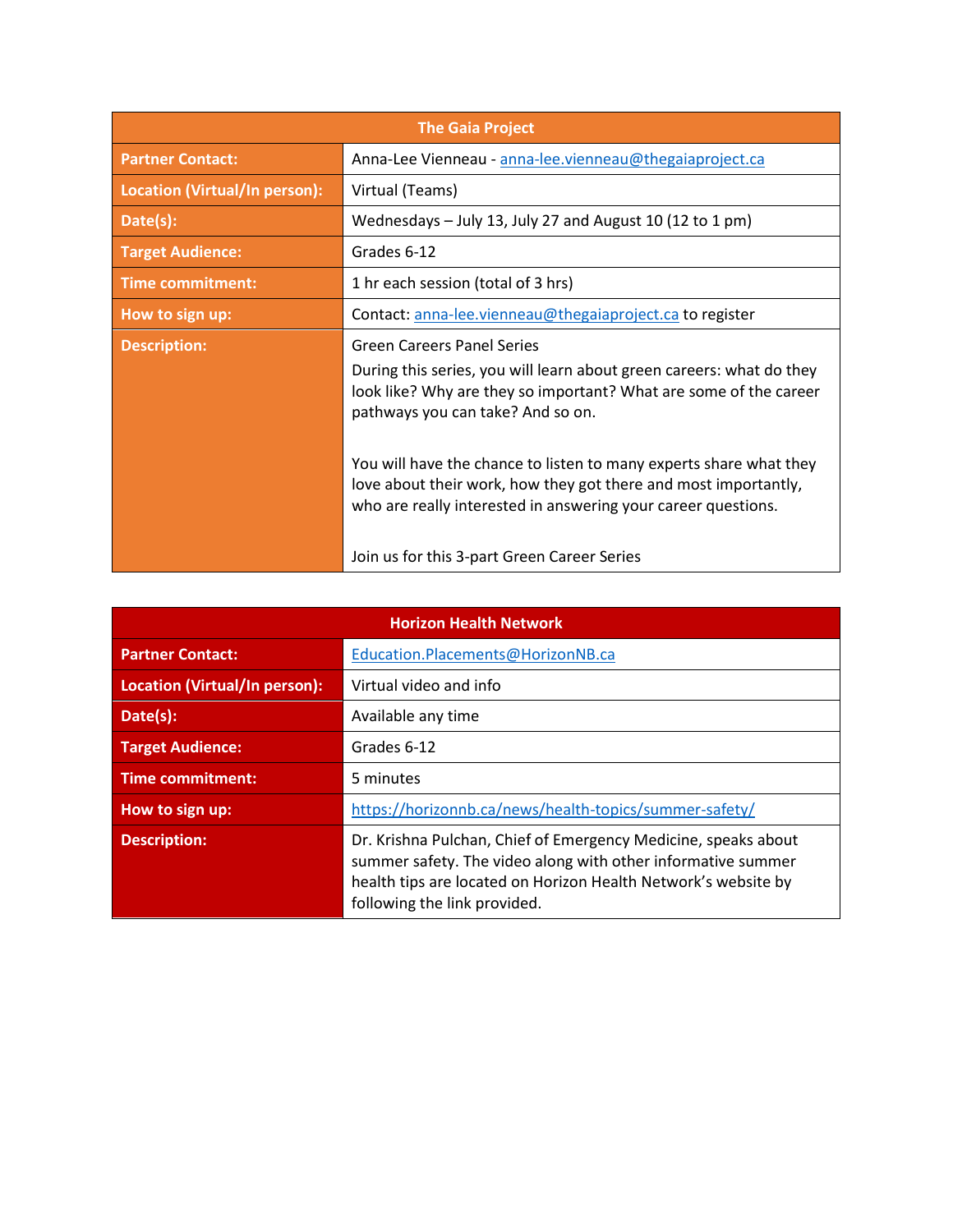| <b>The Gaia Project</b>       |                                                                                                                                                                                                                                                                                                                                                                                                                                                                              |
|-------------------------------|------------------------------------------------------------------------------------------------------------------------------------------------------------------------------------------------------------------------------------------------------------------------------------------------------------------------------------------------------------------------------------------------------------------------------------------------------------------------------|
| <b>Partner Contact:</b>       | Anna-Lee Vienneau - anna-lee.vienneau@thegaiaproject.ca                                                                                                                                                                                                                                                                                                                                                                                                                      |
| Location (Virtual/In person): | Virtual (Teams)                                                                                                                                                                                                                                                                                                                                                                                                                                                              |
| Date(s):                      | Wednesdays - July 13, July 27 and August 10 (12 to 1 pm)                                                                                                                                                                                                                                                                                                                                                                                                                     |
| <b>Target Audience:</b>       | Grades 6-12                                                                                                                                                                                                                                                                                                                                                                                                                                                                  |
| <b>Time commitment:</b>       | 1 hr each session (total of 3 hrs)                                                                                                                                                                                                                                                                                                                                                                                                                                           |
| How to sign up:               | Contact: anna-lee.vienneau@thegaiaproject.ca to register                                                                                                                                                                                                                                                                                                                                                                                                                     |
| <b>Description:</b>           | <b>Green Careers Panel Series</b><br>During this series, you will learn about green careers: what do they<br>look like? Why are they so important? What are some of the career<br>pathways you can take? And so on.<br>You will have the chance to listen to many experts share what they<br>love about their work, how they got there and most importantly,<br>who are really interested in answering your career questions.<br>Join us for this 3-part Green Career Series |

| <b>Horizon Health Network</b> |                                                                                                                                                                                                                                  |
|-------------------------------|----------------------------------------------------------------------------------------------------------------------------------------------------------------------------------------------------------------------------------|
| <b>Partner Contact:</b>       | Education.Placements@HorizonNB.ca                                                                                                                                                                                                |
| Location (Virtual/In person): | Virtual video and info                                                                                                                                                                                                           |
| Date(s):                      | Available any time                                                                                                                                                                                                               |
| <b>Target Audience:</b>       | Grades 6-12                                                                                                                                                                                                                      |
| Time commitment:              | 5 minutes                                                                                                                                                                                                                        |
| How to sign up:               | https://horizonnb.ca/news/health-topics/summer-safety/                                                                                                                                                                           |
| <b>Description:</b>           | Dr. Krishna Pulchan, Chief of Emergency Medicine, speaks about<br>summer safety. The video along with other informative summer<br>health tips are located on Horizon Health Network's website by<br>following the link provided. |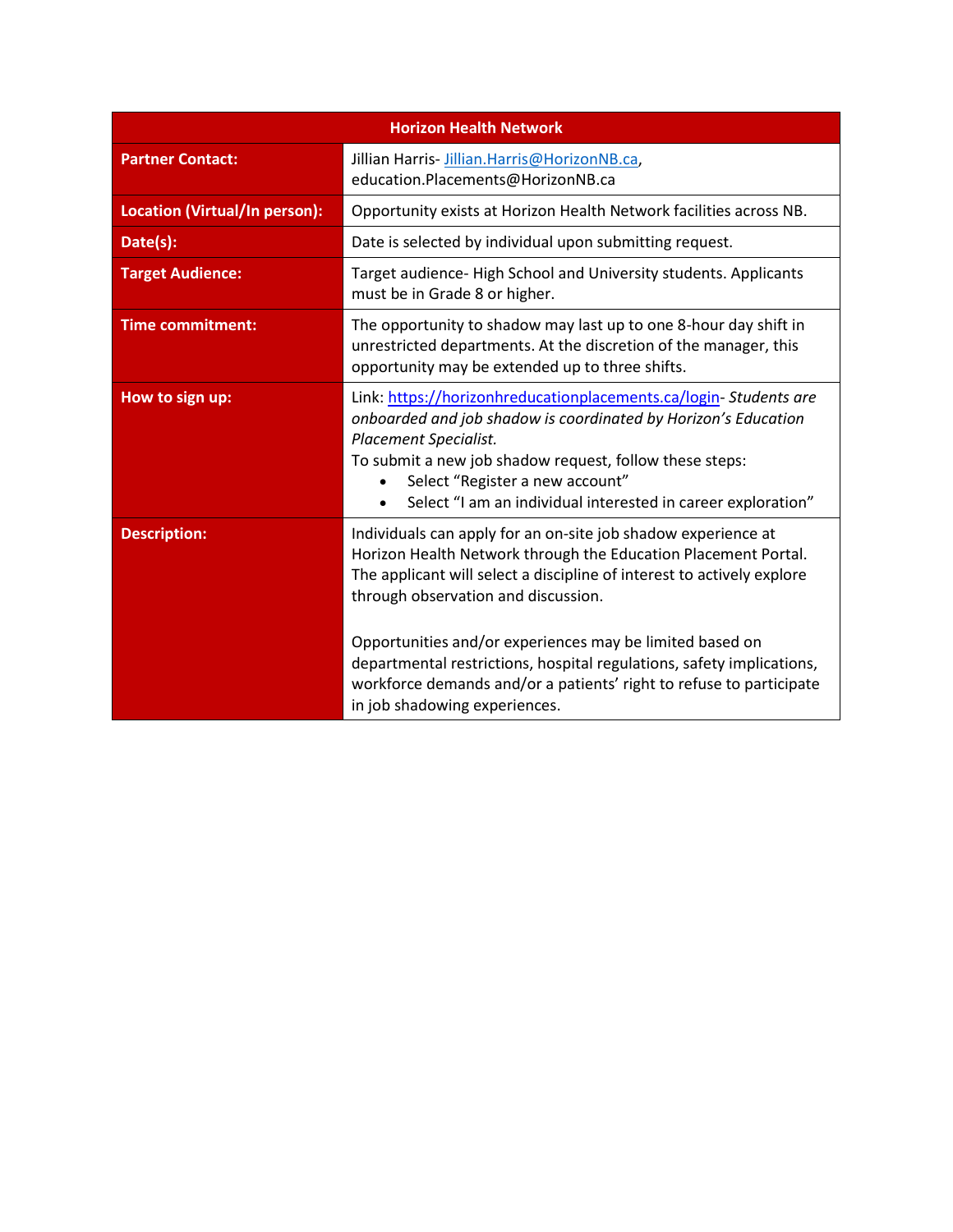| <b>Horizon Health Network</b> |                                                                                                                                                                                                                                                                                                                                                                                                                                                              |
|-------------------------------|--------------------------------------------------------------------------------------------------------------------------------------------------------------------------------------------------------------------------------------------------------------------------------------------------------------------------------------------------------------------------------------------------------------------------------------------------------------|
| <b>Partner Contact:</b>       | Jillian Harris- Jillian. Harris@HorizonNB.ca,<br>education.Placements@HorizonNB.ca                                                                                                                                                                                                                                                                                                                                                                           |
| Location (Virtual/In person): | Opportunity exists at Horizon Health Network facilities across NB.                                                                                                                                                                                                                                                                                                                                                                                           |
| Date(s):                      | Date is selected by individual upon submitting request.                                                                                                                                                                                                                                                                                                                                                                                                      |
| <b>Target Audience:</b>       | Target audience- High School and University students. Applicants<br>must be in Grade 8 or higher.                                                                                                                                                                                                                                                                                                                                                            |
| <b>Time commitment:</b>       | The opportunity to shadow may last up to one 8-hour day shift in<br>unrestricted departments. At the discretion of the manager, this<br>opportunity may be extended up to three shifts.                                                                                                                                                                                                                                                                      |
| How to sign up:               | Link: https://horizonhreducationplacements.ca/login-Students are<br>onboarded and job shadow is coordinated by Horizon's Education<br>Placement Specialist.<br>To submit a new job shadow request, follow these steps:<br>Select "Register a new account"<br>Select "I am an individual interested in career exploration"                                                                                                                                    |
| <b>Description:</b>           | Individuals can apply for an on-site job shadow experience at<br>Horizon Health Network through the Education Placement Portal.<br>The applicant will select a discipline of interest to actively explore<br>through observation and discussion.<br>Opportunities and/or experiences may be limited based on<br>departmental restrictions, hospital regulations, safety implications,<br>workforce demands and/or a patients' right to refuse to participate |
|                               | in job shadowing experiences.                                                                                                                                                                                                                                                                                                                                                                                                                                |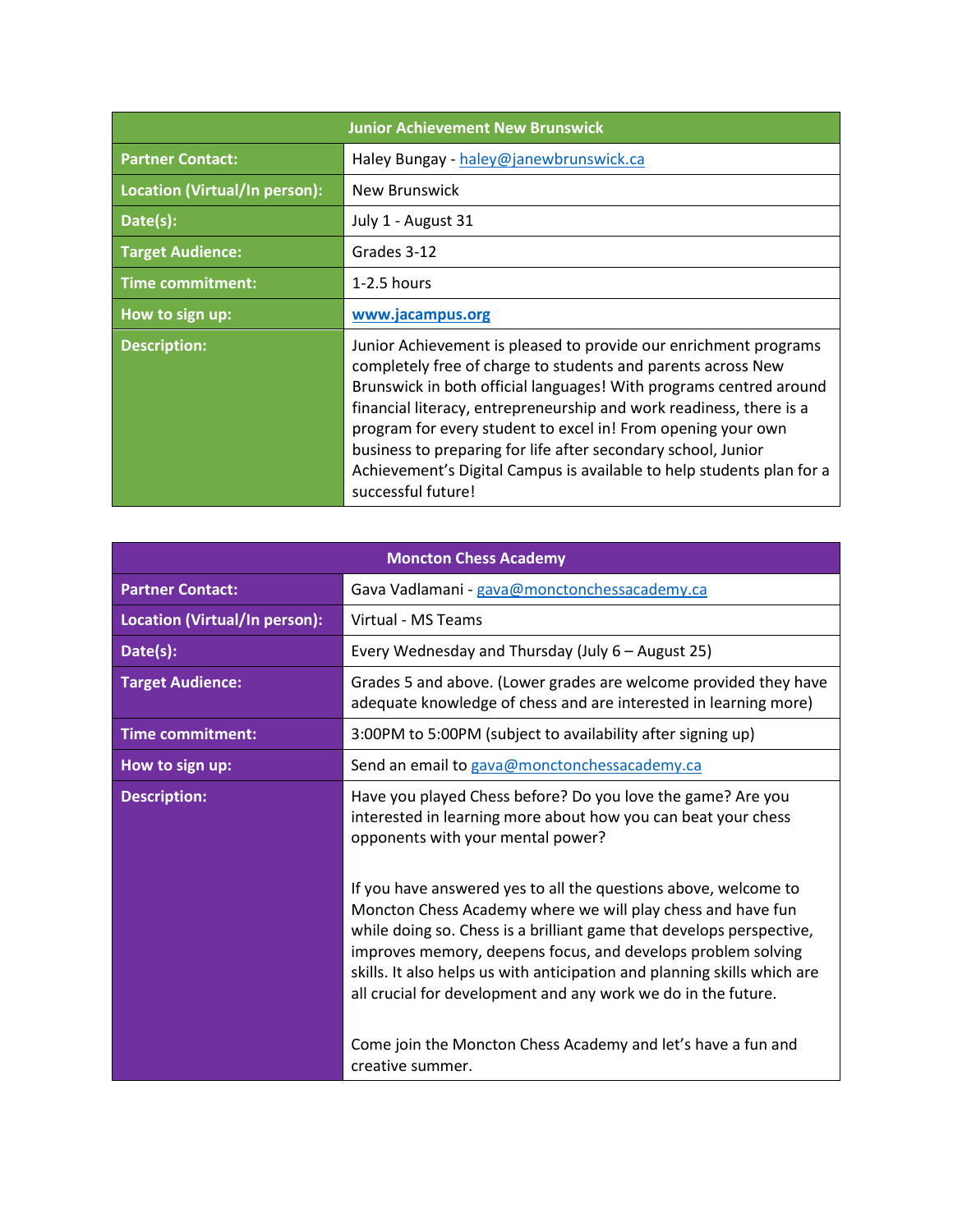| <b>Junior Achievement New Brunswick</b> |                                                                                                                                                                                                                                                                                                                                                                                                                                                                                                               |
|-----------------------------------------|---------------------------------------------------------------------------------------------------------------------------------------------------------------------------------------------------------------------------------------------------------------------------------------------------------------------------------------------------------------------------------------------------------------------------------------------------------------------------------------------------------------|
| <b>Partner Contact:</b>                 | Haley Bungay - haley@janewbrunswick.ca                                                                                                                                                                                                                                                                                                                                                                                                                                                                        |
| Location (Virtual/In person):           | <b>New Brunswick</b>                                                                                                                                                                                                                                                                                                                                                                                                                                                                                          |
| Date(s):                                | July 1 - August 31                                                                                                                                                                                                                                                                                                                                                                                                                                                                                            |
| <b>Target Audience:</b>                 | Grades 3-12                                                                                                                                                                                                                                                                                                                                                                                                                                                                                                   |
| <b>Time commitment:</b>                 | $1-2.5$ hours                                                                                                                                                                                                                                                                                                                                                                                                                                                                                                 |
| How to sign up:                         | www.jacampus.org                                                                                                                                                                                                                                                                                                                                                                                                                                                                                              |
| <b>Description:</b>                     | Junior Achievement is pleased to provide our enrichment programs<br>completely free of charge to students and parents across New<br>Brunswick in both official languages! With programs centred around<br>financial literacy, entrepreneurship and work readiness, there is a<br>program for every student to excel in! From opening your own<br>business to preparing for life after secondary school, Junior<br>Achievement's Digital Campus is available to help students plan for a<br>successful future! |

| <b>Moncton Chess Academy</b>  |                                                                                                                                                                                                                                                                                                                                                                                                                                                                                                                                                                                                                                                                              |
|-------------------------------|------------------------------------------------------------------------------------------------------------------------------------------------------------------------------------------------------------------------------------------------------------------------------------------------------------------------------------------------------------------------------------------------------------------------------------------------------------------------------------------------------------------------------------------------------------------------------------------------------------------------------------------------------------------------------|
| <b>Partner Contact:</b>       | Gava Vadlamani - gava@monctonchessacademy.ca                                                                                                                                                                                                                                                                                                                                                                                                                                                                                                                                                                                                                                 |
| Location (Virtual/In person): | Virtual - MS Teams                                                                                                                                                                                                                                                                                                                                                                                                                                                                                                                                                                                                                                                           |
| Date(s):                      | Every Wednesday and Thursday (July 6 - August 25)                                                                                                                                                                                                                                                                                                                                                                                                                                                                                                                                                                                                                            |
| <b>Target Audience:</b>       | Grades 5 and above. (Lower grades are welcome provided they have<br>adequate knowledge of chess and are interested in learning more)                                                                                                                                                                                                                                                                                                                                                                                                                                                                                                                                         |
| Time commitment:              | 3:00PM to 5:00PM (subject to availability after signing up)                                                                                                                                                                                                                                                                                                                                                                                                                                                                                                                                                                                                                  |
| How to sign up:               | Send an email to gava@monctonchessacademy.ca                                                                                                                                                                                                                                                                                                                                                                                                                                                                                                                                                                                                                                 |
| <b>Description:</b>           | Have you played Chess before? Do you love the game? Are you<br>interested in learning more about how you can beat your chess<br>opponents with your mental power?<br>If you have answered yes to all the questions above, welcome to<br>Moncton Chess Academy where we will play chess and have fun<br>while doing so. Chess is a brilliant game that develops perspective,<br>improves memory, deepens focus, and develops problem solving<br>skills. It also helps us with anticipation and planning skills which are<br>all crucial for development and any work we do in the future.<br>Come join the Moncton Chess Academy and let's have a fun and<br>creative summer. |